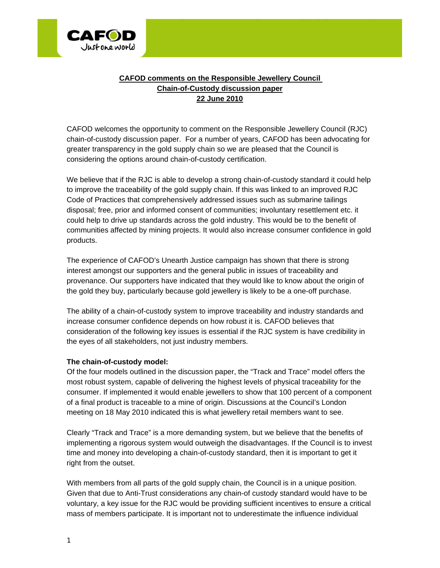

## **CAFOD comments on the Responsible Jewellery Council Chain-of-Custody discussion paper 22 June 2010**

CAFOD welcomes the opportunity to comment on the Responsible Jewellery Council (RJC) chain-of-custody discussion paper. For a number of years, CAFOD has been advocating for greater transparency in the gold supply chain so we are pleased that the Council is considering the options around chain-of-custody certification.

We believe that if the RJC is able to develop a strong chain-of-custody standard it could help to improve the traceability of the gold supply chain. If this was linked to an improved RJC Code of Practices that comprehensively addressed issues such as submarine tailings disposal; free, prior and informed consent of communities; involuntary resettlement etc. it could help to drive up standards across the gold industry. This would be to the benefit of communities affected by mining projects. It would also increase consumer confidence in gold products.

The experience of CAFOD's Unearth Justice campaign has shown that there is strong interest amongst our supporters and the general public in issues of traceability and provenance. Our supporters have indicated that they would like to know about the origin of the gold they buy, particularly because gold jewellery is likely to be a one-off purchase.

The ability of a chain-of-custody system to improve traceability and industry standards and increase consumer confidence depends on how robust it is. CAFOD believes that consideration of the following key issues is essential if the RJC system is have credibility in the eyes of all stakeholders, not just industry members.

## **The chain-of-custody model:**

Of the four models outlined in the discussion paper, the "Track and Trace" model offers the most robust system, capable of delivering the highest levels of physical traceability for the consumer. If implemented it would enable jewellers to show that 100 percent of a component of a final product is traceable to a mine of origin. Discussions at the Council's London meeting on 18 May 2010 indicated this is what jewellery retail members want to see.

Clearly "Track and Trace" is a more demanding system, but we believe that the benefits of implementing a rigorous system would outweigh the disadvantages. If the Council is to invest time and money into developing a chain-of-custody standard, then it is important to get it right from the outset.

With members from all parts of the gold supply chain, the Council is in a unique position. Given that due to Anti-Trust considerations any chain-of custody standard would have to be voluntary, a key issue for the RJC would be providing sufficient incentives to ensure a critical mass of members participate. It is important not to underestimate the influence individual